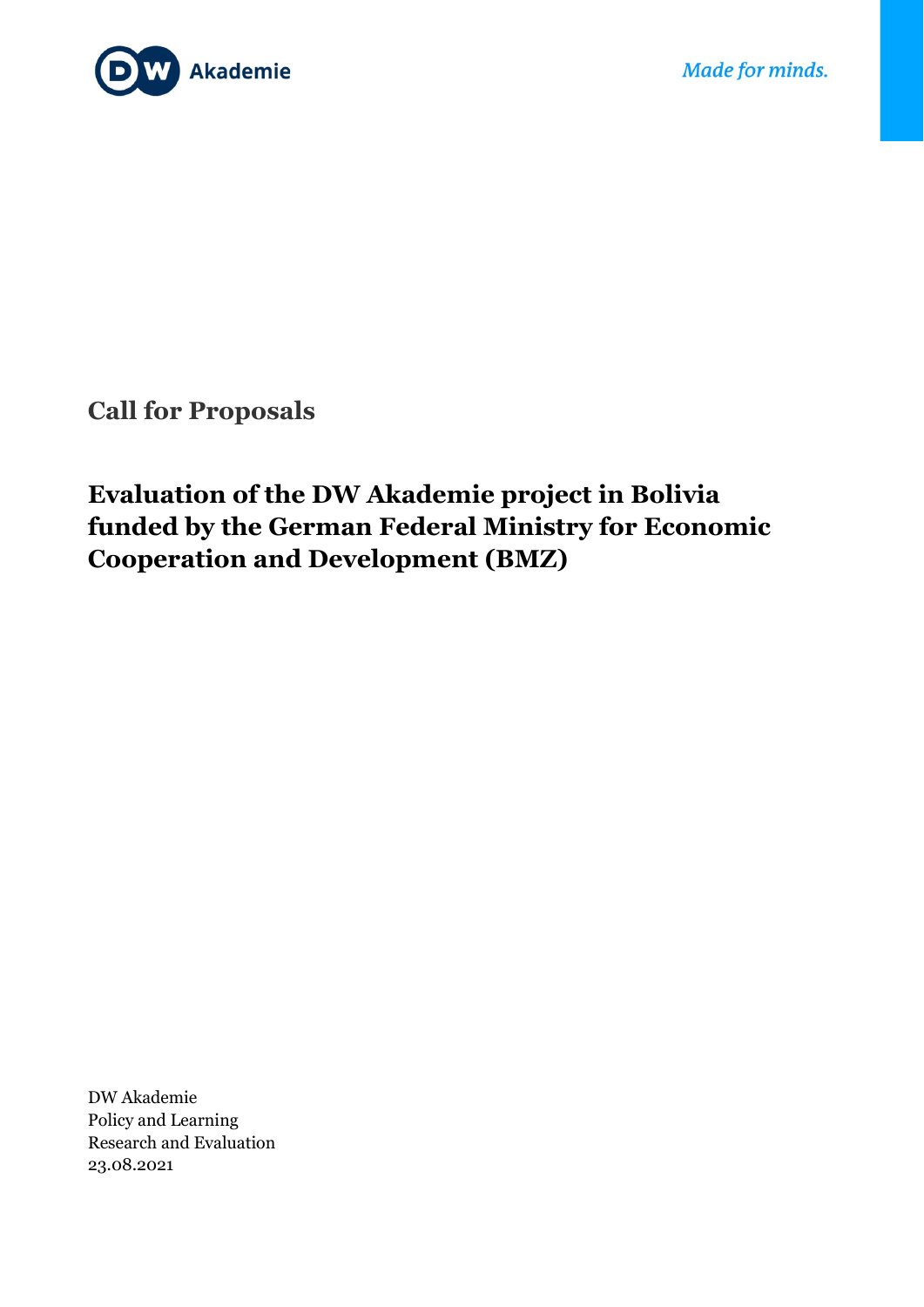

**Call for Proposals**

# **Evaluation of the DW Akademie project in Bolivia funded by the German Federal Ministry for Economic Cooperation and Development (BMZ)**

DW Akademie Policy and Learning Research and Evaluation 23.08.2021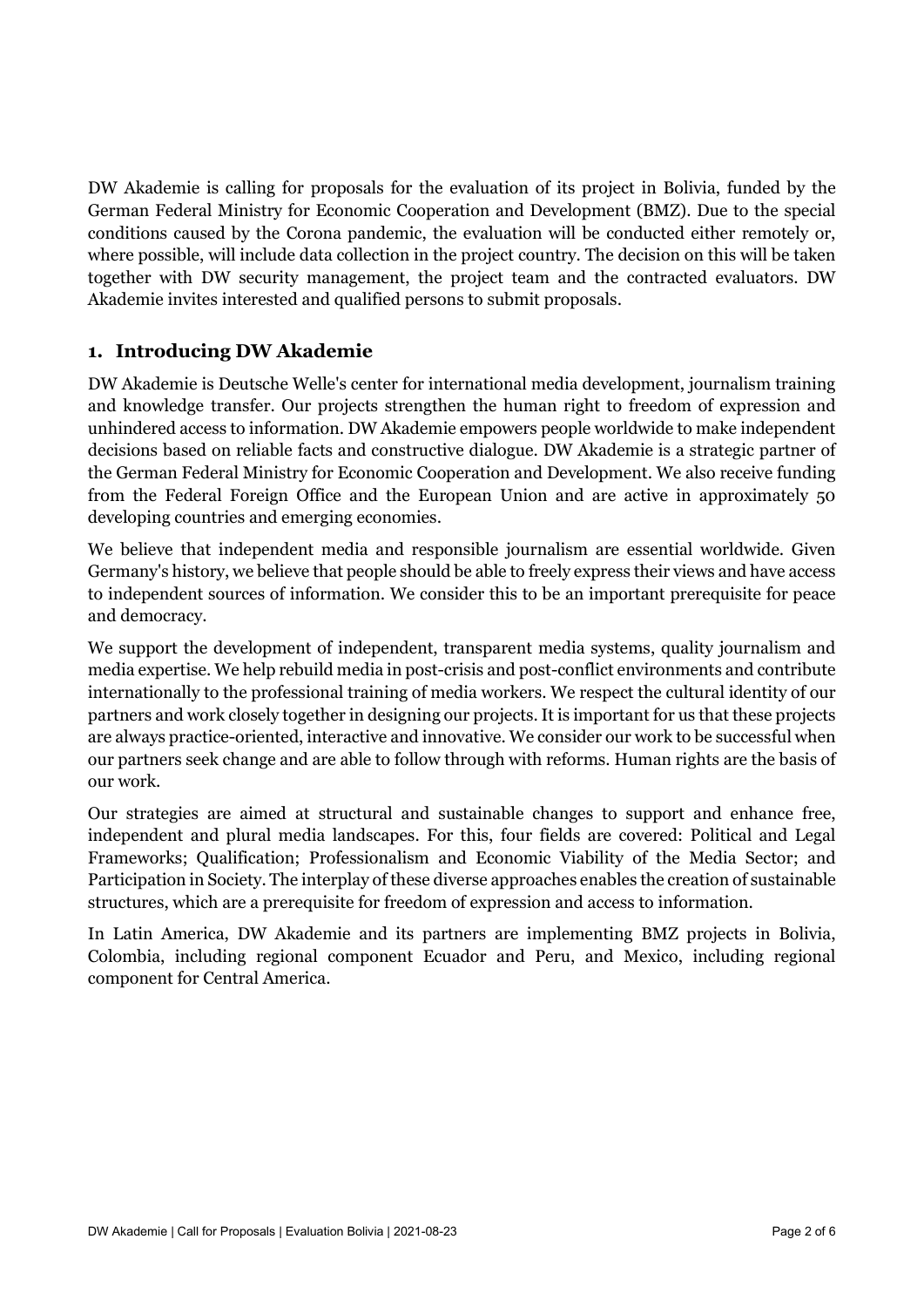DW Akademie is calling for proposals for the evaluation of its project in Bolivia, funded by the German Federal Ministry for Economic Cooperation and Development (BMZ). Due to the special conditions caused by the Corona pandemic, the evaluation will be conducted either remotely or, where possible, will include data collection in the project country. The decision on this will be taken together with DW security management, the project team and the contracted evaluators. DW Akademie invites interested and qualified persons to submit proposals.

#### **1. Introducing DW Akademie**

DW Akademie is Deutsche Welle's center for international media development, journalism training and knowledge transfer. Our projects strengthen the human right to freedom of expression and unhindered access to information. DW Akademie empowers people worldwide to make independent decisions based on reliable facts and constructive dialogue. DW Akademie is a strategic partner of the German Federal Ministry for Economic Cooperation and Development. We also receive funding from the Federal Foreign Office and the European Union and are active in approximately 50 developing countries and emerging economies.

We believe that independent media and responsible journalism are essential worldwide. Given Germany's history, we believe that people should be able to freely express their views and have access to independent sources of information. We consider this to be an important prerequisite for peace and democracy.

We support the development of independent, transparent media systems, quality journalism and media expertise. We help rebuild media in post-crisis and post-conflict environments and contribute internationally to the professional training of media workers. We respect the cultural identity of our partners and work closely together in designing our projects. It is important for us that these projects are always practice-oriented, interactive and innovative. We consider our work to be successful when our partners seek change and are able to follow through with reforms. Human rights are the basis of our work.

Our strategies are aimed at structural and sustainable changes to support and enhance free, independent and plural media landscapes. For this, four fields are covered: Political and Legal Frameworks; Qualification; Professionalism and Economic Viability of the Media Sector; and Participation in Society. The interplay of these diverse approaches enables the creation of sustainable structures, which are a prerequisite for freedom of expression and access to information.

In Latin America, DW Akademie and its partners are implementing BMZ projects in Bolivia, Colombia, including regional component Ecuador and Peru, and Mexico, including regional component for Central America.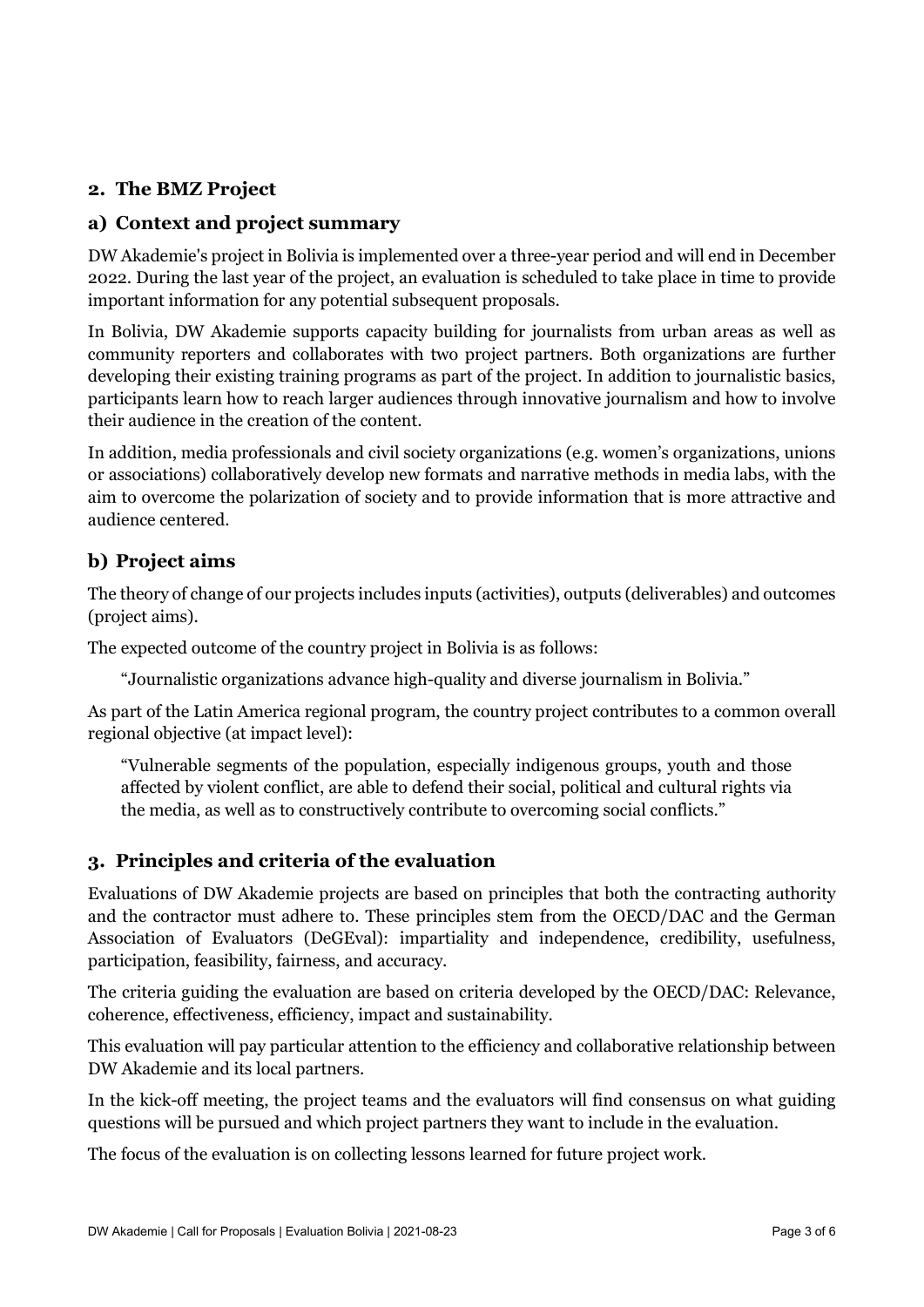#### **2. The BMZ Project**

#### **a) Context and project summary**

DW Akademie's project in Bolivia is implemented over a three-year period and will end in December 2022. During the last year of the project, an evaluation is scheduled to take place in time to provide important information for any potential subsequent proposals.

In Bolivia, DW Akademie supports capacity building for journalists from urban areas as well as community reporters and collaborates with two project partners. Both organizations are further developing their existing training programs as part of the project. In addition to journalistic basics, participants learn how to reach larger audiences through innovative journalism and how to involve their audience in the creation of the content.

In addition, media professionals and civil society organizations (e.g. women's organizations, unions or associations) collaboratively develop new formats and narrative methods in media labs, with the aim to overcome the polarization of society and to provide information that is more attractive and audience centered.

### **b) Project aims**

The theory of change of our projects includes inputs (activities), outputs (deliverables) and outcomes (project aims).

The expected outcome of the country project in Bolivia is as follows:

"Journalistic organizations advance high-quality and diverse journalism in Bolivia."

As part of the Latin America regional program, the country project contributes to a common overall regional objective (at impact level):

"Vulnerable segments of the population, especially indigenous groups, youth and those affected by violent conflict, are able to defend their social, political and cultural rights via the media, as well as to constructively contribute to overcoming social conflicts."

#### **3. Principles and criteria of the evaluation**

Evaluations of DW Akademie projects are based on principles that both the contracting authority and the contractor must adhere to. These principles stem from the OECD/DAC and the German Association of Evaluators (DeGEval): impartiality and independence, credibility, usefulness, participation, feasibility, fairness, and accuracy.

The criteria guiding the evaluation are based on criteria developed by the OECD/DAC: Relevance, coherence, effectiveness, efficiency, impact and sustainability.

This evaluation will pay particular attention to the efficiency and collaborative relationship between DW Akademie and its local partners.

In the kick-off meeting, the project teams and the evaluators will find consensus on what guiding questions will be pursued and which project partners they want to include in the evaluation.

The focus of the evaluation is on collecting lessons learned for future project work.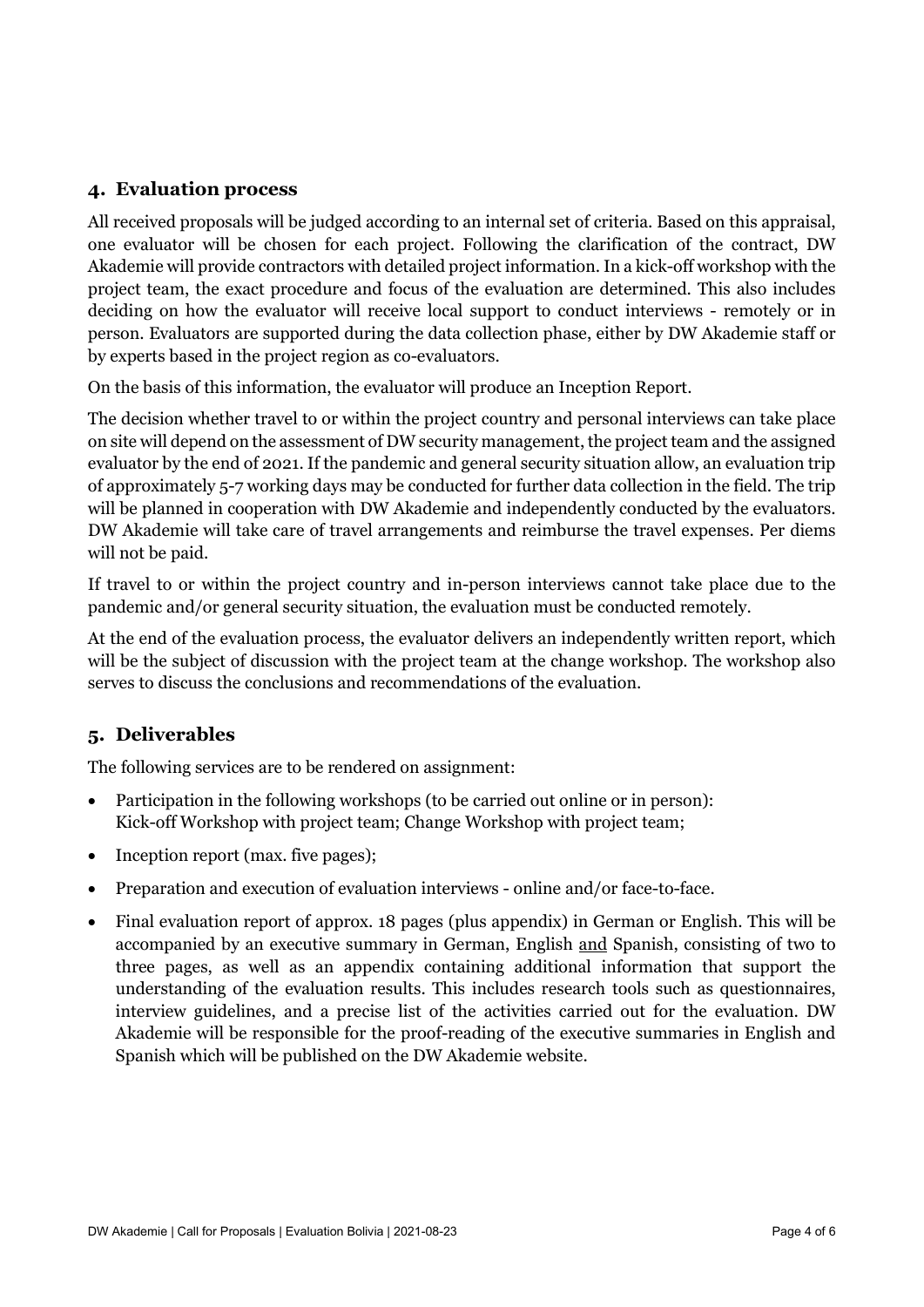#### **4. Evaluation process**

All received proposals will be judged according to an internal set of criteria. Based on this appraisal, one evaluator will be chosen for each project. Following the clarification of the contract, DW Akademie will provide contractors with detailed project information. In a kick-off workshop with the project team, the exact procedure and focus of the evaluation are determined. This also includes deciding on how the evaluator will receive local support to conduct interviews - remotely or in person. Evaluators are supported during the data collection phase, either by DW Akademie staff or by experts based in the project region as co-evaluators.

On the basis of this information, the evaluator will produce an Inception Report.

The decision whether travel to or within the project country and personal interviews can take place on site will depend on the assessment of DW security management, the project team and the assigned evaluator by the end of 2021. If the pandemic and general security situation allow, an evaluation trip of approximately 5-7 working days may be conducted for further data collection in the field. The trip will be planned in cooperation with DW Akademie and independently conducted by the evaluators. DW Akademie will take care of travel arrangements and reimburse the travel expenses. Per diems will not be paid.

If travel to or within the project country and in-person interviews cannot take place due to the pandemic and/or general security situation, the evaluation must be conducted remotely.

At the end of the evaluation process, the evaluator delivers an independently written report, which will be the subject of discussion with the project team at the change workshop. The workshop also serves to discuss the conclusions and recommendations of the evaluation.

#### **5. Deliverables**

The following services are to be rendered on assignment:

- Participation in the following workshops (to be carried out online or in person): Kick-off Workshop with project team; Change Workshop with project team;
- Inception report (max. five pages);
- Preparation and execution of evaluation interviews online and/or face-to-face.
- Final evaluation report of approx. 18 pages (plus appendix) in German or English. This will be accompanied by an executive summary in German, English and Spanish, consisting of two to three pages, as well as an appendix containing additional information that support the understanding of the evaluation results. This includes research tools such as questionnaires, interview guidelines, and a precise list of the activities carried out for the evaluation. DW Akademie will be responsible for the proof-reading of the executive summaries in English and Spanish which will be published on the DW Akademie website.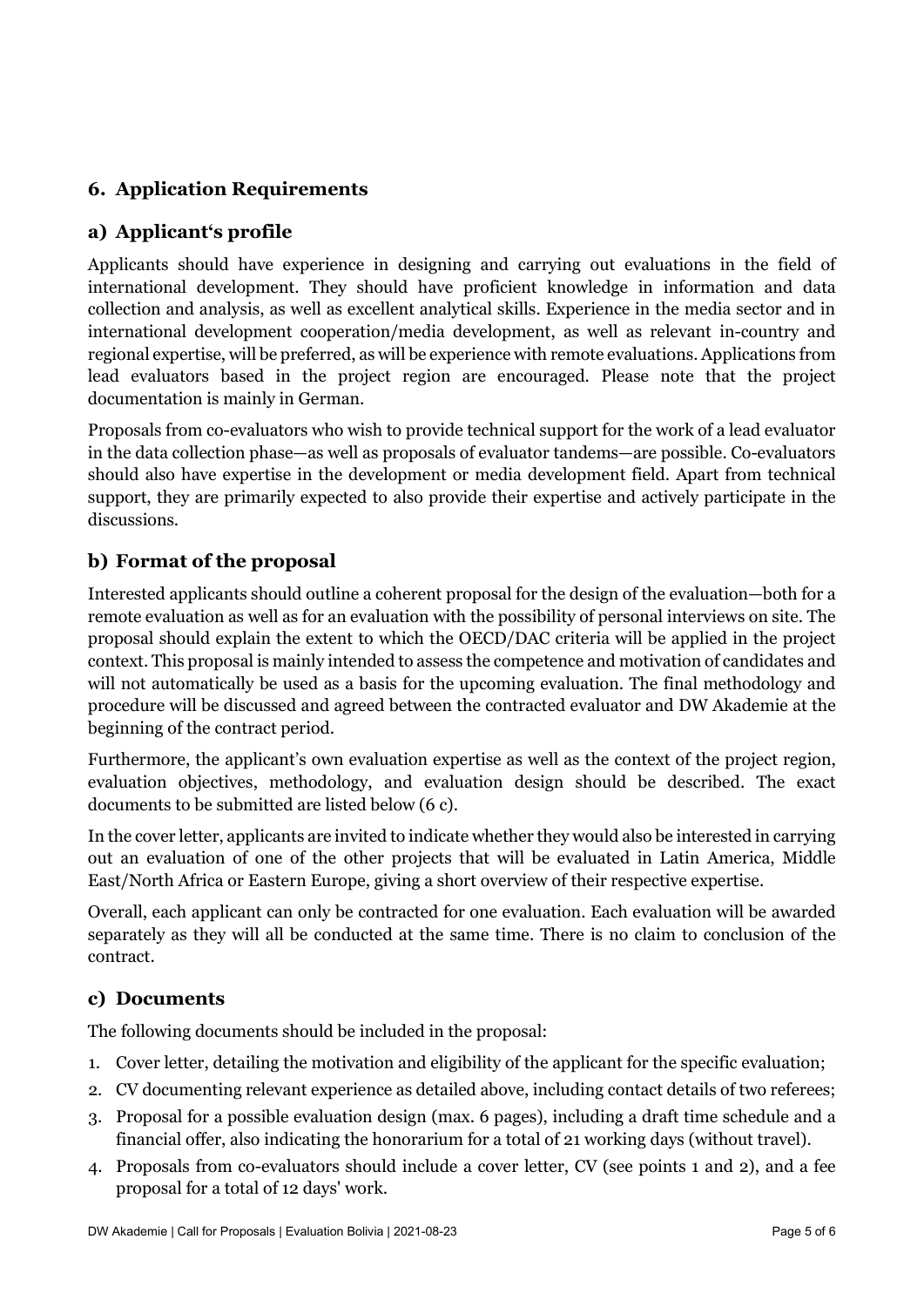## **6. Application Requirements**

#### **a) Applicant's profile**

Applicants should have experience in designing and carrying out evaluations in the field of international development. They should have proficient knowledge in information and data collection and analysis, as well as excellent analytical skills. Experience in the media sector and in international development cooperation/media development, as well as relevant in-country and regional expertise, will be preferred, as will be experience with remote evaluations. Applications from lead evaluators based in the project region are encouraged. Please note that the project documentation is mainly in German.

Proposals from co-evaluators who wish to provide technical support for the work of a lead evaluator in the data collection phase—as well as proposals of evaluator tandems—are possible. Co-evaluators should also have expertise in the development or media development field. Apart from technical support, they are primarily expected to also provide their expertise and actively participate in the discussions.

### **b) Format of the proposal**

Interested applicants should outline a coherent proposal for the design of the evaluation—both for a remote evaluation as well as for an evaluation with the possibility of personal interviews on site. The proposal should explain the extent to which the OECD/DAC criteria will be applied in the project context. This proposal is mainly intended to assess the competence and motivation of candidates and will not automatically be used as a basis for the upcoming evaluation. The final methodology and procedure will be discussed and agreed between the contracted evaluator and DW Akademie at the beginning of the contract period.

Furthermore, the applicant's own evaluation expertise as well as the context of the project region, evaluation objectives, methodology, and evaluation design should be described. The exact documents to be submitted are listed below (6 c).

In the cover letter, applicants are invited to indicate whether they would also be interested in carrying out an evaluation of one of the other projects that will be evaluated in Latin America, Middle East/North Africa or Eastern Europe, giving a short overview of their respective expertise.

Overall, each applicant can only be contracted for one evaluation. Each evaluation will be awarded separately as they will all be conducted at the same time. There is no claim to conclusion of the contract.

#### **c) Documents**

The following documents should be included in the proposal:

- 1. Cover letter, detailing the motivation and eligibility of the applicant for the specific evaluation;
- 2. CV documenting relevant experience as detailed above, including contact details of two referees;
- 3. Proposal for a possible evaluation design (max. 6 pages), including a draft time schedule and a financial offer, also indicating the honorarium for a total of 21 working days (without travel).
- 4. Proposals from co-evaluators should include a cover letter, CV (see points 1 and 2), and a fee proposal for a total of 12 days' work.